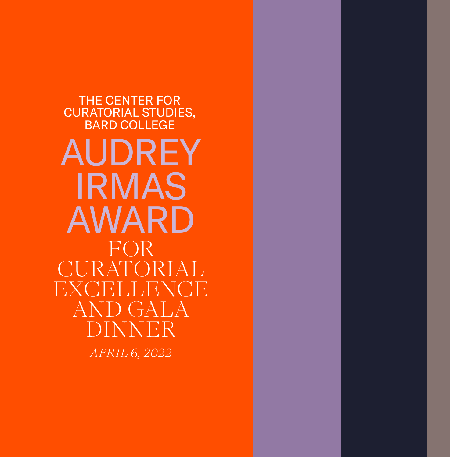THE CENTER FOR CURATORIAL STUDIES, BARD COLLEGE *APRIL 6, 2022* AUDREY IRMAS AWARD FOR CURATORIAL **EXCELLENCE** AND GALA DINNER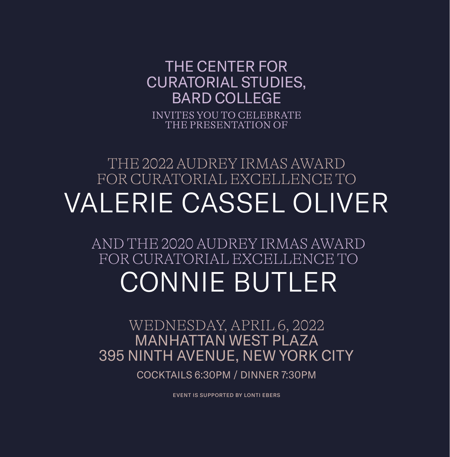## INVITES YOU TO CELEBRATE THE PRESENTATION OF THE CENTER FOR CURATORIAL STUDIES, BARD COLLEGE

# THE 2022 AUDREY IRMAS AWARD FOR CURATORIAL EXCELLENCE TO VALERIE CASSEL OLIVER

# AND THE 2020 AUDREY IRMAS AWARD FOR CURATORIAL EXCELLENCE TO CONNIE BUTLER

WEDNESDAY, APRIL 6, 2022 MANHATTAN WEST PLAZA 395 NINTH AVENUE, NEW YORK CITY

COCKTAILS 6:30PM / DINNER 7:30PM

EVENT IS SUPPORTED BY LONTI EBERS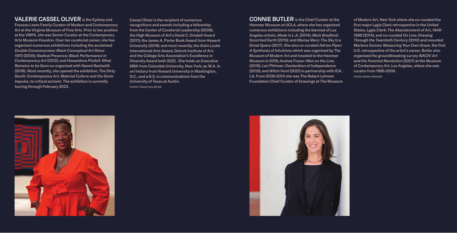### VALERIE CASSEL OLIVER is the Sydney and

Frances Lewis Family Curator of Modern and Contemporary Art at the Virginia Museum of Fine Arts. Prior to her position at the VMFA, she was Senior Curator at the Contemporary Arts Museum Houston. Over her curatorial career, she has organized numerous exhibitions including the acclaimed *Double Consciousness: Black Conceptual Art Since 1970* (2005); *Radical Presence: Black Performance in Contemporary Art* (2012); and *Howardena Pindell: What Remains to be Seen* co-organized with Naomi Beckwith (2018). Most recently, she opened the exhibition, *The Dirty South: Contemporary Art, Material Culture and the Sonic Impulse*, to critical acclaim. The exhibition is currently touring through February 2023.

Cassel Oliver is the recipient of numerous recognitions and awards including a fellowship from the Center of Curatorial Leadership (2009); the High Museum of Art's David C. Driskell Award (2011); the James A. Porter Book Award from Howard University (2018); and most recently, the Alain Locke International Arts Award, Detroit Institute of Art; and the College Arts Association's Excellence in Diversity Award both 2022. She holds an Executive MBA from Columbia University, New York; an M.A. in art history from Howard University in Washington, D.C., and a B.S. in communications from the University of Texas at Austin. PHOTO: TRAVIS FULLERTON

CONNIE BUTLER is the Chief Curator at the Hammer Museum at UCLA, where she has organized numerous exhibitions including the biennial of Los Angeles artists, *Made in L.A.* (2014); *Mark Bradford: Scorched Earth* (2015); and *Marisa Merz: The Sky Is a Great Space* (2017). She also co-curated *Adrian Piper: A Synthesis of Intuitions* which was organized by The Museum of Modern Art and traveled to the Hammer Museum in 2018; *Andrea Fraser: Men on the Line*, (2019); *Lari Pittman: Declaration of Independence* (2019); and *Witch Hunt* (2021) in partnership with ICA, LA. From 2006-2013 she was The Robert Lehman Foundation Chief Curator of Drawings at The Museum

of Modern Art, New York where she co-curated the first major Lygia Clark retrospective in the United States, *Lygia Clark: The Abandonment of Art, 1948- 1988* (2014); and co-curated *On Line: Drawing Through the Twentieth Century* (2010) and mounted *Marlene Dumas: Measuring Your Own Grave*, the first U.S. retrospective of the artist's career. Butler also organized the groundbreaking survey *WACK! Art and the Feminist Revolution* (2007) at the Museum of Contemporary Art, Los Angeles, where she was curator from 1996-2006. PHOTO: MARK HANAUER



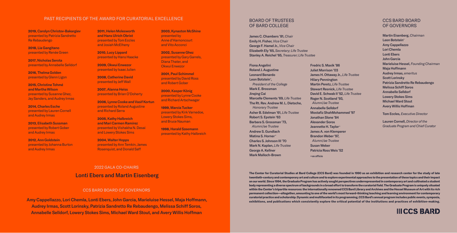#### PAST RECIPIENTS OF THE AWARD FOR CURATORIAL EXCELLENCE

2019, Carolyn Christov-Bakargiev presented by Patrizia Sandretto Re Rebaudengo

2018, Lia Gangitano presented by Renée Green

2017, Nicholas Serota presented by Annabelle Selldorf

2016, Thelma Golden presented by Glenn Ligon

2015, Christine Tohmé and Martha Wilson presented by Susanne Ghez, Jay Sanders, and Audrey Irmas

2014, Charles Esche presented by Lauren Cornell and Audrey Irmas

2013, Elisabeth Sussman presented by Robert Gober and Audrey Irmas

2012, Ann Goldstein presented by Johanna Burton and Audrey Irmas

2011, Helen Molesworth and Hans Ulrich Obrist presented by Tom Eccles and Josiah McElheny

2010, Lucy Lippard presented by Hans Haacke

2009, Okwui Enwezor presented by Isaac Julien

2008, Catherine David presented by Jeff Wall

2007, Alanna Heiss presented by Brian O'Doherty

2006, Lynne Cooke and Vasif Kortun presented by Roland Augustine and Richard Serra

2005, Kathy Halbreich and Mari Carmen Ramírez presented by Vishakha N. Desai and Lowery Stokes Sims

2004, Walter Hopps presented by Ann Temkin, James Rosenquist, and Donald Saff

#### 2022 GALA CO-CHAIRS

### Lonti Ebers and Martin Eisenberg

#### CCS BARD BOARD OF GOVERNORS

Amy Cappellazzo, Lori Chemla, Lonti Ebers, John Garcia, Marieluise Hessel, Maja Hoffmann, Audrey Irmas, Scott Lorinsky, Patrizia Sandretto Re Rebaudengo, Melissa Schiff Soros, Annabelle Selldorf, Lowery Stokes Sims, Michael Ward Stout, and Avery Willis Hoffman

2003, Kynaston McShine presented by Anne d'Harnoncourt and Vito Acconci

2002, Susanne Ghez presented by Gary Garrels, Diana Thater, and Okwui Enwezor

2001, Paul Schimmel presented by David Ross and Robert Gober

2000, Kasper König presented by Lynne Cooke and Richard Artschwager

1999, Marcia Tucker presented by Kirk Varnedoe, Lowery Stokes Sims, and Bruce Nauman

1998, Harald Szeemann presented by Kathy Halbreich

#### BOARD OF TRUSTEES OF BARD COLLEGE

James C. Chambers '81, *Chair* Emily H. Fisher, *Vice Chair* George F. Hamel Jr., *Vice Chair* Elizabeth Ely '65, *Secretary; Life Trustee* Stanley A. Reichel '65, *Treasurer; Life Trustee*

Fiona Angelini Roland J. Augustine Leonard Benardo Leon Botstein<sup>+</sup>, *President of the College* Mark E. Brossman **Jinging Cai** Marcelle Clements '69, *Life Trustee* The Rt. Rev. Andrew M. L. Dietsche,  *Honorary Trustee* Asher B. Edelman '61, *Life Trustee* Robert S. Epstein '63 Barbara S. Grossman '73,  *Alumni/ae Trustee* Andrew S. Gundlach Matina S. Horner<sup>+</sup> Charles S. Johnson III '70 Mark N. Kaplan, *Life Trustee* George A. Kellner Mark Malloch-Brown

Fredric S. Maxik '86 Juliet Morrison '03 James H. Ottaway Jr., *Life Trustee* Hilary Pennington Martin Peretz, *Life Trustee* Stewart Resnick, *Life Trustee* David E. Schwab II '52, *Life Trustee* Roger N. Scotland '93,  *Alumni/ae Trustee* Annabelle Selldorf Mostafiz ShahMohammed '97 Jonathan Slone '84 Alexander Soros Jeannette H. Taylor<sup>+</sup> James A. von Klemperer Brandon Weber '97, *Alumni/ae Trustee* Susan Weber Patricia Ross Weis '52 +ex officio

#### CCS BARD BOARD OF GOVERNORS

Martin Eisenberg, *Chairman* Leon Botstein<sup>+</sup> Amy Cappellazzo Lori Chemla Lonti Ebers John Garcia Marieluise Hessel, *Founding Chairman*  Maja Hoffmann Audrey Irmas, *emeritus* Scott Lorinsky Patrizia Sandretto Re Rebaudengo Melissa Schiff Soros Annabelle Selldorf Lowery Stokes Sims Michael Ward Stout Avery Willis Hoffman Tom Eccles, *Executive Director*

Lauren Cornell, *Director of the Graduate Program and Chief Curator*

The Center for Curatorial Studies at Bard College (CCS Bard) was founded in 1990 as an exhibition and research center for the study of late twentieth-century and contemporary art and culture and to explore experimental approaches to the presentation of these topics and their impact on our world. Since 1994, the Graduate Program has actively sought perspectives underrepresented in contemporary art and cultivated a student body representing a diverse spectrum of backgrounds in a broad effort to transform the curatorial field. The Graduate Program is uniquely situated within the Center's tripartite resources: the internationally renowned CCS Bard Library and Archives and the Hessel Museum of Art with its rich permanent collection—altogether, amounting to one of the world's most forward-thinking teaching and learning environment for contemporary curatorial practice and scholarship. Dynamic and multifaceted in its programming, CCS Bard's annual program includes public events, symposia, exhibitions, and publications which consistently explore the critical potential of the institutions and practices of exhibition-making.

**IIICCS BARD**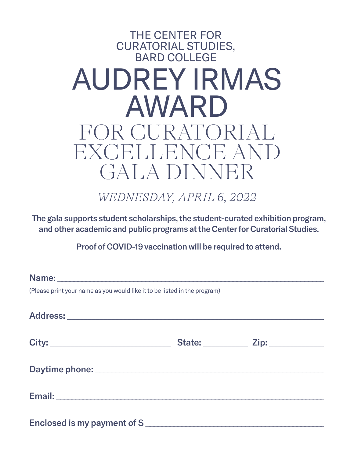## THE CENTER FOR CURATORIAL STUDIES, BARD COLLEGE AUDREY IRMAS AWARD FOR CURATORIAL EXCELLENCE AND GALA DINNER

*WEDNESDAY, APRIL 6, 2022*

The gala supports student scholarships, the student-curated exhibition program, and other academic and public programs at the Center for Curatorial Studies.

Proof of COVID-19 vaccination will be required to attend.

| (Please print your name as you would like it to be listed in the program)                                                  |  |  |  |  |
|----------------------------------------------------------------------------------------------------------------------------|--|--|--|--|
|                                                                                                                            |  |  |  |  |
|                                                                                                                            |  |  |  |  |
|                                                                                                                            |  |  |  |  |
|                                                                                                                            |  |  |  |  |
|                                                                                                                            |  |  |  |  |
|                                                                                                                            |  |  |  |  |
|                                                                                                                            |  |  |  |  |
| Email: <b>Example 2008</b> Service Contractor Contractor Contractor Contractor Contractor Contractor Contractor Contractor |  |  |  |  |
|                                                                                                                            |  |  |  |  |
| Enclosed is my payment of \$                                                                                               |  |  |  |  |